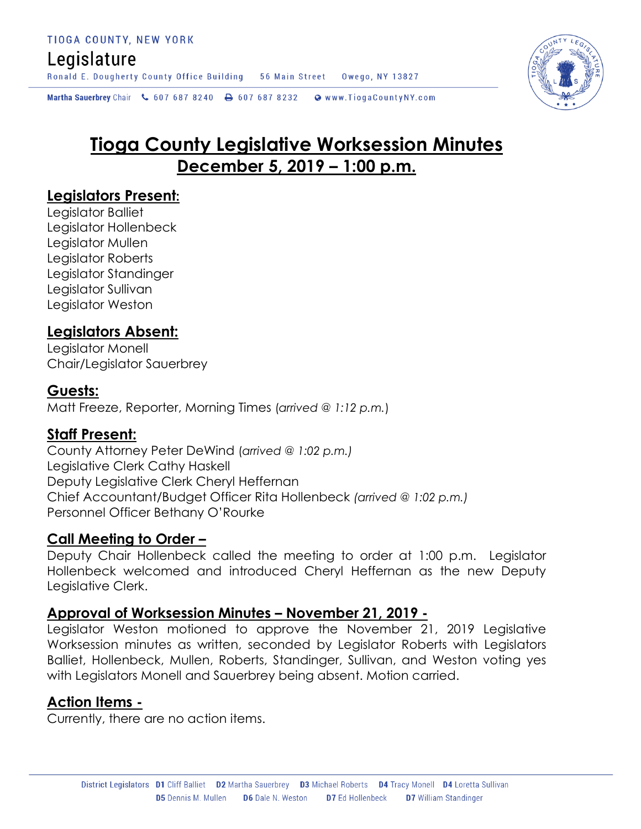## Legislature

Ronald E. Dougherty County Office Building 56 Main Street Owego, NY 13827

Martha Sauerbrey Chair & 607 687 8240 <a>B</a>607 687 8232 <a>B</a>Www.TiogaCountyNY.com

# **Tioga County Legislative Worksession Minutes December 5, 2019 – 1:00 p.m.**

#### **Legislators Present:**

Legislator Balliet Legislator Hollenbeck Legislator Mullen Legislator Roberts Legislator Standinger Legislator Sullivan Legislator Weston

#### **Legislators Absent:**

Legislator Monell Chair/Legislator Sauerbrey

#### **Guests:**

Matt Freeze, Reporter, Morning Times (*arrived @ 1:12 p.m.*)

#### **Staff Present:**

County Attorney Peter DeWind (*arrived @ 1:02 p.m.)* Legislative Clerk Cathy Haskell Deputy Legislative Clerk Cheryl Heffernan Chief Accountant/Budget Officer Rita Hollenbeck *(arrived @ 1:02 p.m.)* Personnel Officer Bethany O'Rourke

#### **Call Meeting to Order –**

Deputy Chair Hollenbeck called the meeting to order at 1:00 p.m. Legislator Hollenbeck welcomed and introduced Cheryl Heffernan as the new Deputy Legislative Clerk.

#### **Approval of Worksession Minutes – November 21, 2019 -**

Legislator Weston motioned to approve the November 21, 2019 Legislative Worksession minutes as written, seconded by Legislator Roberts with Legislators Balliet, Hollenbeck, Mullen, Roberts, Standinger, Sullivan, and Weston voting yes with Legislators Monell and Sauerbrey being absent. Motion carried.

#### **Action Items -**

Currently, there are no action items.

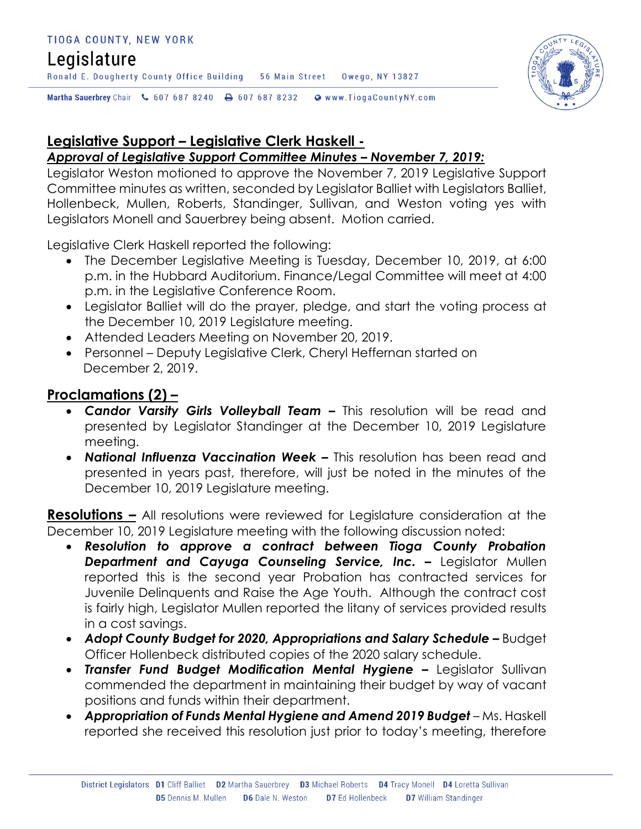#### TIOGA COUNTY, NEW YORK

### Legislature

Ronald E. Dougherty County Office Building 56 Main Street 0wego, NY 13827

Martha Sauerbrey Chair & 607 687 8240 A 607 687 8232 @ www.TiogaCountyNY.com



# **Legislative Support – Legislative Clerk Haskell -**

#### *Approval of Legislative Support Committee Minutes – November 7, 2019:*

Legislator Weston motioned to approve the November 7, 2019 Legislative Support Committee minutes as written, seconded by Legislator Balliet with Legislators Balliet, Hollenbeck, Mullen, Roberts, Standinger, Sullivan, and Weston voting yes with Legislators Monell and Sauerbrey being absent. Motion carried.

Legislative Clerk Haskell reported the following:

- The December Legislative Meeting is Tuesday, December 10, 2019, at 6:00 p.m. in the Hubbard Auditorium. Finance/Legal Committee will meet at 4:00 p.m. in the Legislative Conference Room.
- Legislator Balliet will do the prayer, pledge, and start the voting process at the December 10, 2019 Legislature meeting.
- Attended Leaders Meeting on November 20, 2019.
- Personnel Deputy Legislative Clerk, Cheryl Heffernan started on December 2, 2019.

#### **Proclamations (2) –**

- *Candor Varsity Girls Volleyball Team –* This resolution will be read and presented by Legislator Standinger at the December 10, 2019 Legislature meeting.
- *National Influenza Vaccination Week –* This resolution has been read and presented in years past, therefore, will just be noted in the minutes of the December 10, 2019 Legislature meeting.

**Resolutions –** All resolutions were reviewed for Legislature consideration at the December 10, 2019 Legislature meeting with the following discussion noted:

- *Resolution to approve a contract between Tioga County Probation*  **Department and Cayuga Counseling Service, Inc. - Legislator Mullen** reported this is the second year Probation has contracted services for Juvenile Delinquents and Raise the Age Youth. Although the contract cost is fairly high, Legislator Mullen reported the litany of services provided results in a cost savings.
- Adopt County Budget for 2020, Appropriations and Salary Schedule Budget Officer Hollenbeck distributed copies of the 2020 salary schedule.
- **Transfer Fund Budget Modification Mental Hygiene -** Legislator Sullivan commended the department in maintaining their budget by way of vacant positions and funds within their department.
- **Appropriation of Funds Mental Hygiene and Amend 2019 Budget** Ms. Haskell reported she received this resolution just prior to today's meeting, therefore